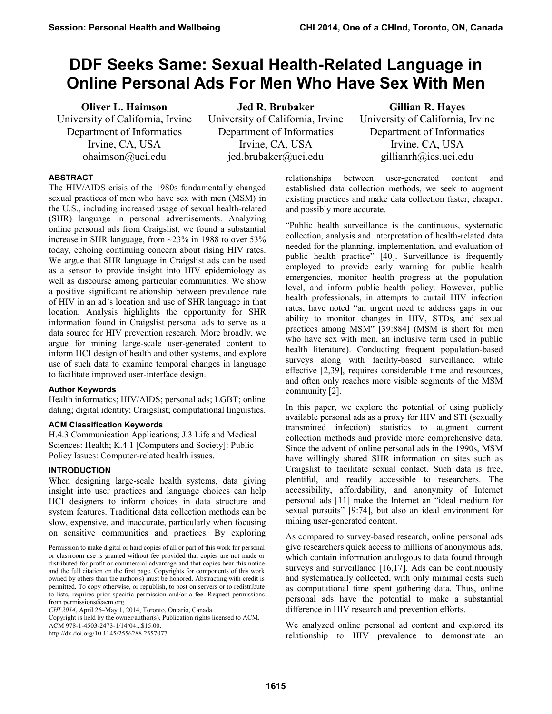# **DDF Seeks Same: Sexual Health-Related Language in Online Personal Ads For Men Who Have Sex With Men**

**Oliver L. Haimson** University of California, Irvine Department of Informatics Irvine, CA, USA ohaimson@uci.edu

**Jed R. Brubaker** University of California, Irvine Department of Informatics Irvine, CA, USA jed.brubaker@uci.edu

**Gillian R. Hayes** University of California, Irvine Department of Informatics Irvine, CA, USA gillianrh@ics.uci.edu

## **ABSTRACT**

The HIV/AIDS crisis of the 1980s fundamentally changed sexual practices of men who have sex with men (MSM) in the U.S., including increased usage of sexual health-related (SHR) language in personal advertisements. Analyzing online personal ads from Craigslist, we found a substantial increase in SHR language, from ~23% in 1988 to over 53% today, echoing continuing concern about rising HIV rates. We argue that SHR language in Craigslist ads can be used as a sensor to provide insight into HIV epidemiology as well as discourse among particular communities. We show a positive significant relationship between prevalence rate of HIV in an ad's location and use of SHR language in that location. Analysis highlights the opportunity for SHR information found in Craigslist personal ads to serve as a data source for HIV prevention research. More broadly, we argue for mining large-scale user-generated content to inform HCI design of health and other systems, and explore use of such data to examine temporal changes in language to facilitate improved user-interface design.

## **Author Keywords**

Health informatics; HIV/AIDS; personal ads; LGBT; online dating; digital identity; Craigslist; computational linguistics.

## **ACM Classification Keywords**

H.4.3 Communication Applications; J.3 Life and Medical Sciences: Health; K.4.1 [Computers and Society]: Public Policy Issues: Computer-related health issues.

## **INTRODUCTION**

When designing large-scale health systems, data giving insight into user practices and language choices can help HCI designers to inform choices in data structure and system features. Traditional data collection methods can be slow, expensive, and inaccurate, particularly when focusing on sensitive communities and practices. By exploring

Copyright is held by the owner/author(s). Publication rights licensed to ACM. ACM 978-1-4503-2473-1/14/04...\$15.00.

http://dx.doi.org/10.1145/2556288.2557077

relationships between user-generated content and established data collection methods, we seek to augment existing practices and make data collection faster, cheaper, and possibly more accurate.

"Public health surveillance is the continuous, systematic collection, analysis and interpretation of health-related data needed for the planning, implementation, and evaluation of public health practice" [40]. Surveillance is frequently employed to provide early warning for public health emergencies, monitor health progress at the population level, and inform public health policy. However, public health professionals, in attempts to curtail HIV infection rates, have noted "an urgent need to address gaps in our ability to monitor changes in HIV, STDs, and sexual practices among MSM" [39:884] (MSM is short for men who have sex with men, an inclusive term used in public health literature). Conducting frequent population-based surveys along with facility-based surveillance, while effective [2,39], requires considerable time and resources, and often only reaches more visible segments of the MSM community [2].

In this paper, we explore the potential of using publicly available personal ads as a proxy for HIV and STI (sexually transmitted infection) statistics to augment current collection methods and provide more comprehensive data. Since the advent of online personal ads in the 1990s, MSM have willingly shared SHR information on sites such as Craigslist to facilitate sexual contact. Such data is free, plentiful, and readily accessible to researchers. The accessibility, affordability, and anonymity of Internet personal ads [11] make the Internet an "ideal medium for sexual pursuits" [9:74], but also an ideal environment for mining user-generated content.

As compared to survey-based research, online personal ads give researchers quick access to millions of anonymous ads, which contain information analogous to data found through surveys and surveillance [16,17]. Ads can be continuously and systematically collected, with only minimal costs such as computational time spent gathering data. Thus, online personal ads have the potential to make a substantial difference in HIV research and prevention efforts.

We analyzed online personal ad content and explored its relationship to HIV prevalence to demonstrate an

Permission to make digital or hard copies of all or part of this work for personal or classroom use is granted without fee provided that copies are not made or distributed for profit or commercial advantage and that copies bear this notice and the full citation on the first page. Copyrights for components of this work owned by others than the author(s) must be honored. Abstracting with credit is permitted. To copy otherwise, or republish, to post on servers or to redistribute to lists, requires prior specific permission and/or a fee. Request permissions from permissions@acm.org.

*CHI 2014*, April 26–May 1, 2014, Toronto, Ontario, Canada.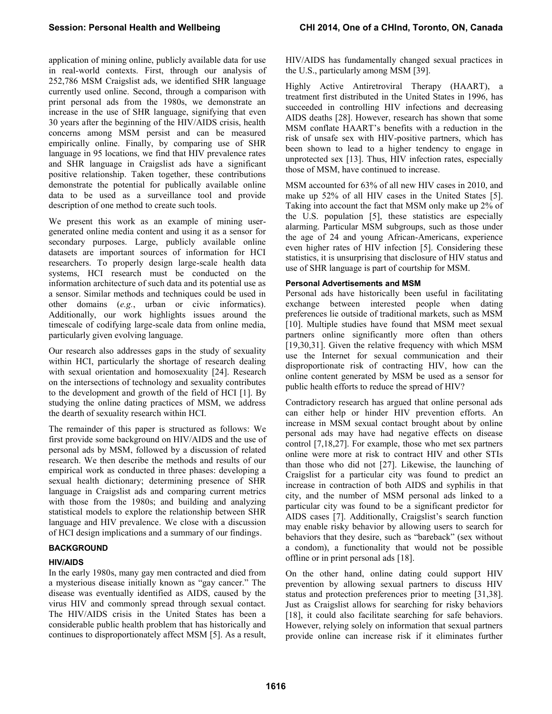application of mining online, publicly available data for use in real-world contexts. First, through our analysis of 252,786 MSM Craigslist ads, we identified SHR language currently used online. Second, through a comparison with print personal ads from the 1980s, we demonstrate an increase in the use of SHR language, signifying that even 30 years after the beginning of the HIV/AIDS crisis, health concerns among MSM persist and can be measured empirically online. Finally, by comparing use of SHR language in 95 locations, we find that HIV prevalence rates and SHR language in Craigslist ads have a significant positive relationship. Taken together, these contributions demonstrate the potential for publically available online data to be used as a surveillance tool and provide description of one method to create such tools.

We present this work as an example of mining usergenerated online media content and using it as a sensor for secondary purposes. Large, publicly available online datasets are important sources of information for HCI researchers. To properly design large-scale health data systems, HCI research must be conducted on the information architecture of such data and its potential use as a sensor. Similar methods and techniques could be used in other domains (*e.g.*, urban or civic informatics). Additionally, our work highlights issues around the timescale of codifying large-scale data from online media, particularly given evolving language.

Our research also addresses gaps in the study of sexuality within HCI, particularly the shortage of research dealing with sexual orientation and homosexuality [24]. Research on the intersections of technology and sexuality contributes to the development and growth of the field of HCI [1]. By studying the online dating practices of MSM, we address the dearth of sexuality research within HCI.

The remainder of this paper is structured as follows: We first provide some background on HIV/AIDS and the use of personal ads by MSM, followed by a discussion of related research. We then describe the methods and results of our empirical work as conducted in three phases: developing a sexual health dictionary; determining presence of SHR language in Craigslist ads and comparing current metrics with those from the 1980s; and building and analyzing statistical models to explore the relationship between SHR language and HIV prevalence. We close with a discussion of HCI design implications and a summary of our findings.

# **BACKGROUND**

# **HIV/AIDS**

In the early 1980s, many gay men contracted and died from a mysterious disease initially known as "gay cancer." The disease was eventually identified as AIDS, caused by the virus HIV and commonly spread through sexual contact. The HIV/AIDS crisis in the United States has been a considerable public health problem that has historically and continues to disproportionately affect MSM [5]. As a result, HIV/AIDS has fundamentally changed sexual practices in the U.S., particularly among MSM [39].

Highly Active Antiretroviral Therapy (HAART), a treatment first distributed in the United States in 1996, has succeeded in controlling HIV infections and decreasing AIDS deaths [28]. However, research has shown that some MSM conflate HAART's benefits with a reduction in the risk of unsafe sex with HIV-positive partners, which has been shown to lead to a higher tendency to engage in unprotected sex [13]. Thus, HIV infection rates, especially those of MSM, have continued to increase.

MSM accounted for 63% of all new HIV cases in 2010, and make up 52% of all HIV cases in the United States [5]. Taking into account the fact that MSM only make up 2% of the U.S. population [5], these statistics are especially alarming. Particular MSM subgroups, such as those under the age of 24 and young African-Americans, experience even higher rates of HIV infection [5]. Considering these statistics, it is unsurprising that disclosure of HIV status and use of SHR language is part of courtship for MSM.

# **Personal Advertisements and MSM**

Personal ads have historically been useful in facilitating exchange between interested people when dating preferences lie outside of traditional markets, such as MSM [10]. Multiple studies have found that MSM meet sexual partners online significantly more often than others [19,30,31]. Given the relative frequency with which MSM use the Internet for sexual communication and their disproportionate risk of contracting HIV, how can the online content generated by MSM be used as a sensor for public health efforts to reduce the spread of HIV?

Contradictory research has argued that online personal ads can either help or hinder HIV prevention efforts. An increase in MSM sexual contact brought about by online personal ads may have had negative effects on disease control [7,18,27]. For example, those who met sex partners online were more at risk to contract HIV and other STIs than those who did not [27]. Likewise, the launching of Craigslist for a particular city was found to predict an increase in contraction of both AIDS and syphilis in that city, and the number of MSM personal ads linked to a particular city was found to be a significant predictor for AIDS cases [7]. Additionally, Craigslist's search function may enable risky behavior by allowing users to search for behaviors that they desire, such as "bareback" (sex without a condom), a functionality that would not be possible offline or in print personal ads [18].

On the other hand, online dating could support HIV prevention by allowing sexual partners to discuss HIV status and protection preferences prior to meeting [31,38]. Just as Craigslist allows for searching for risky behaviors [18], it could also facilitate searching for safe behaviors. However, relying solely on information that sexual partners provide online can increase risk if it eliminates further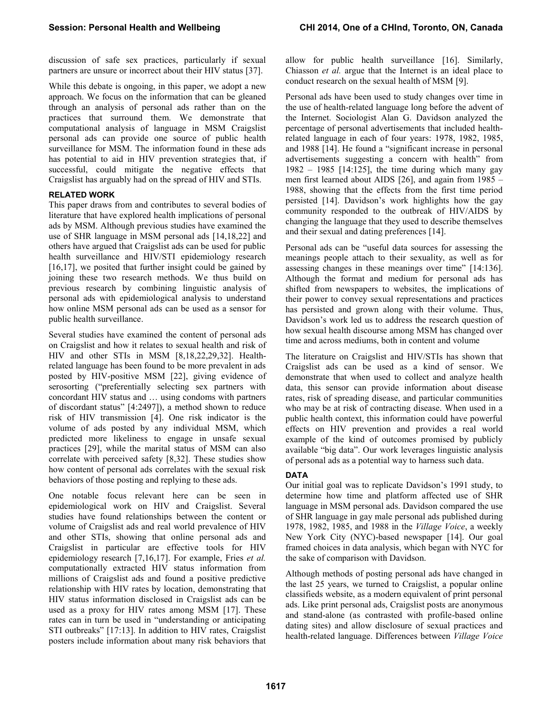discussion of safe sex practices, particularly if sexual partners are unsure or incorrect about their HIV status [37].

While this debate is ongoing, in this paper, we adopt a new approach. We focus on the information that can be gleaned through an analysis of personal ads rather than on the practices that surround them. We demonstrate that computational analysis of language in MSM Craigslist personal ads can provide one source of public health surveillance for MSM. The information found in these ads has potential to aid in HIV prevention strategies that, if successful, could mitigate the negative effects that Craigslist has arguably had on the spread of HIV and STIs.

# **RELATED WORK**

This paper draws from and contributes to several bodies of literature that have explored health implications of personal ads by MSM. Although previous studies have examined the use of SHR language in MSM personal ads [14,18,22] and others have argued that Craigslist ads can be used for public health surveillance and HIV/STI epidemiology research  $[16,17]$ , we posited that further insight could be gained by joining these two research methods. We thus build on previous research by combining linguistic analysis of personal ads with epidemiological analysis to understand how online MSM personal ads can be used as a sensor for public health surveillance.

Several studies have examined the content of personal ads on Craigslist and how it relates to sexual health and risk of HIV and other STIs in MSM [8,18,22,29,32]. Healthrelated language has been found to be more prevalent in ads posted by HIV-positive MSM [22], giving evidence of serosorting ("preferentially selecting sex partners with concordant HIV status and … using condoms with partners of discordant status" [4:2497]), a method shown to reduce risk of HIV transmission [4]. One risk indicator is the volume of ads posted by any individual MSM, which predicted more likeliness to engage in unsafe sexual practices [29], while the marital status of MSM can also correlate with perceived safety [8,32]. These studies show how content of personal ads correlates with the sexual risk behaviors of those posting and replying to these ads.

One notable focus relevant here can be seen in epidemiological work on HIV and Craigslist. Several studies have found relationships between the content or volume of Craigslist ads and real world prevalence of HIV and other STIs, showing that online personal ads and Craigslist in particular are effective tools for HIV epidemiology research [7,16,17]. For example, Fries *et al.*  computationally extracted HIV status information from millions of Craigslist ads and found a positive predictive relationship with HIV rates by location, demonstrating that HIV status information disclosed in Craigslist ads can be used as a proxy for HIV rates among MSM [17]. These rates can in turn be used in "understanding or anticipating STI outbreaks" [17:13]. In addition to HIV rates, Craigslist posters include information about many risk behaviors that

allow for public health surveillance [16]. Similarly, Chiasson *et al.* argue that the Internet is an ideal place to conduct research on the sexual health of MSM [9].

Personal ads have been used to study changes over time in the use of health-related language long before the advent of the Internet. Sociologist Alan G. Davidson analyzed the percentage of personal advertisements that included healthrelated language in each of four years: 1978, 1982, 1985, and 1988 [14]. He found a "significant increase in personal advertisements suggesting a concern with health" from  $1982 - 1985$  [14:125], the time during which many gay men first learned about AIDS [26], and again from 1985 – 1988, showing that the effects from the first time period persisted [14]. Davidson's work highlights how the gay community responded to the outbreak of HIV/AIDS by changing the language that they used to describe themselves and their sexual and dating preferences [14].

Personal ads can be "useful data sources for assessing the meanings people attach to their sexuality, as well as for assessing changes in these meanings over time" [14:136]. Although the format and medium for personal ads has shifted from newspapers to websites, the implications of their power to convey sexual representations and practices has persisted and grown along with their volume. Thus, Davidson's work led us to address the research question of how sexual health discourse among MSM has changed over time and across mediums, both in content and volume

The literature on Craigslist and HIV/STIs has shown that Craigslist ads can be used as a kind of sensor. We demonstrate that when used to collect and analyze health data, this sensor can provide information about disease rates, risk of spreading disease, and particular communities who may be at risk of contracting disease. When used in a public health context, this information could have powerful effects on HIV prevention and provides a real world example of the kind of outcomes promised by publicly available "big data". Our work leverages linguistic analysis of personal ads as a potential way to harness such data.

# **DATA**

Our initial goal was to replicate Davidson's 1991 study, to determine how time and platform affected use of SHR language in MSM personal ads. Davidson compared the use of SHR language in gay male personal ads published during 1978, 1982, 1985, and 1988 in the *Village Voice*, a weekly New York City (NYC)-based newspaper [14]. Our goal framed choices in data analysis, which began with NYC for the sake of comparison with Davidson.

Although methods of posting personal ads have changed in the last 25 years, we turned to Craigslist, a popular online classifieds website, as a modern equivalent of print personal ads. Like print personal ads, Craigslist posts are anonymous and stand-alone (as contrasted with profile-based online dating sites) and allow disclosure of sexual practices and health-related language. Differences between *Village Voice*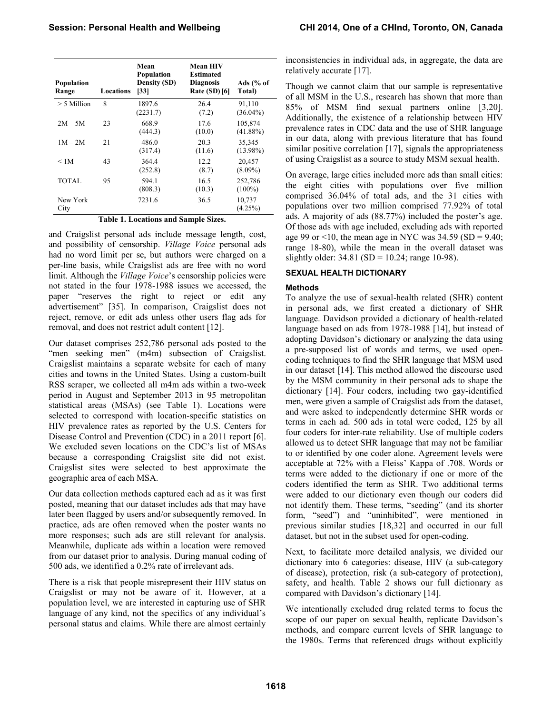| Population<br>Range | Locations | Mean<br><b>Population</b><br><b>Density (SD)</b><br>$\left 33\right $ | <b>Mean HIV</b><br><b>Estimated</b><br><b>Diagnosis</b><br><b>Rate (SD)</b> [6] | Ads $(\%$ of<br>Total) |
|---------------------|-----------|-----------------------------------------------------------------------|---------------------------------------------------------------------------------|------------------------|
| $> 5$ Million       | 8         | 1897.6<br>(2231.7)                                                    | 26.4<br>(7.2)                                                                   | 91,110<br>$(36.04\%)$  |
| $2M - 5M$           | 23        | 668.9<br>(444.3)                                                      | 17.6<br>(10.0)                                                                  | 105,874<br>$(41.88\%)$ |
| $1M - 2M$           | 21        | 486.0<br>(317.4)                                                      | 20.3<br>(11.6)                                                                  | 35,345<br>$(13.98\%)$  |
| < 1M                | 43        | 364.4<br>(252.8)                                                      | 12.2<br>(8.7)                                                                   | 20,457<br>$(8.09\%)$   |
| <b>TOTAL</b>        | 95        | 594.1<br>(808.3)                                                      | 16.5<br>(10.3)                                                                  | 252,786<br>$(100\%)$   |
| New York<br>City    |           | 7231.6                                                                | 36.5                                                                            | 10,737<br>$(4.25\%)$   |

#### **Table 1. Locations and Sample Sizes.**

and Craigslist personal ads include message length, cost, and possibility of censorship. *Village Voice* personal ads had no word limit per se, but authors were charged on a per-line basis, while Craigslist ads are free with no word limit. Although the *Village Voice*'s censorship policies were not stated in the four 1978-1988 issues we accessed, the paper "reserves the right to reject or edit any advertisement" [35]. In comparison, Craigslist does not reject, remove, or edit ads unless other users flag ads for removal, and does not restrict adult content [12].

Our dataset comprises 252,786 personal ads posted to the "men seeking men" (m4m) subsection of Craigslist. Craigslist maintains a separate website for each of many cities and towns in the United States. Using a custom-built RSS scraper, we collected all m4m ads within a two-week period in August and September 2013 in 95 metropolitan statistical areas (MSAs) (see Table 1). Locations were selected to correspond with location-specific statistics on HIV prevalence rates as reported by the U.S. Centers for Disease Control and Prevention (CDC) in a 2011 report [6]. We excluded seven locations on the CDC's list of MSAs because a corresponding Craigslist site did not exist. Craigslist sites were selected to best approximate the geographic area of each MSA.

Our data collection methods captured each ad as it was first posted, meaning that our dataset includes ads that may have later been flagged by users and/or subsequently removed. In practice, ads are often removed when the poster wants no more responses; such ads are still relevant for analysis. Meanwhile, duplicate ads within a location were removed from our dataset prior to analysis. During manual coding of 500 ads, we identified a 0.2% rate of irrelevant ads.

There is a risk that people misrepresent their HIV status on Craigslist or may not be aware of it. However, at a population level, we are interested in capturing use of SHR language of any kind, not the specifics of any individual's personal status and claims. While there are almost certainly

inconsistencies in individual ads, in aggregate, the data are relatively accurate [17].

Though we cannot claim that our sample is representative of all MSM in the U.S., research has shown that more than 85% of MSM find sexual partners online [3,20]. Additionally, the existence of a relationship between HIV prevalence rates in CDC data and the use of SHR language in our data, along with previous literature that has found similar positive correlation [17], signals the appropriateness of using Craigslist as a source to study MSM sexual health.

On average, large cities included more ads than small cities: the eight cities with populations over five million comprised 36.04% of total ads, and the 31 cities with populations over two million comprised 77.92% of total ads. A majority of ads (88.77%) included the poster's age. Of those ads with age included, excluding ads with reported age 99 or <10, the mean age in NYC was  $34.59$  (SD = 9.40; range 18-80), while the mean in the overall dataset was slightly older: 34.81 (SD = 10.24; range 10-98).

# **SEXUAL HEALTH DICTIONARY**

# **Methods**

To analyze the use of sexual-health related (SHR) content in personal ads, we first created a dictionary of SHR language. Davidson provided a dictionary of health-related language based on ads from 1978-1988 [14], but instead of adopting Davidson's dictionary or analyzing the data using a pre-supposed list of words and terms, we used opencoding techniques to find the SHR language that MSM used in our dataset [14]. This method allowed the discourse used by the MSM community in their personal ads to shape the dictionary [14]. Four coders, including two gay-identified men, were given a sample of Craigslist ads from the dataset, and were asked to independently determine SHR words or terms in each ad. 500 ads in total were coded, 125 by all four coders for inter-rate reliability. Use of multiple coders allowed us to detect SHR language that may not be familiar to or identified by one coder alone. Agreement levels were acceptable at 72% with a Fleiss' Kappa of .708. Words or terms were added to the dictionary if one or more of the coders identified the term as SHR. Two additional terms were added to our dictionary even though our coders did not identify them. These terms, "seeding" (and its shorter form, "seed") and "uninhibited", were mentioned in previous similar studies [18,32] and occurred in our full dataset, but not in the subset used for open-coding.

Next, to facilitate more detailed analysis, we divided our dictionary into 6 categories: disease, HIV (a sub-category of disease), protection, risk (a sub-category of protection), safety, and health. Table 2 shows our full dictionary as compared with Davidson's dictionary [14].

We intentionally excluded drug related terms to focus the scope of our paper on sexual health, replicate Davidson's methods, and compare current levels of SHR language to the 1980s. Terms that referenced drugs without explicitly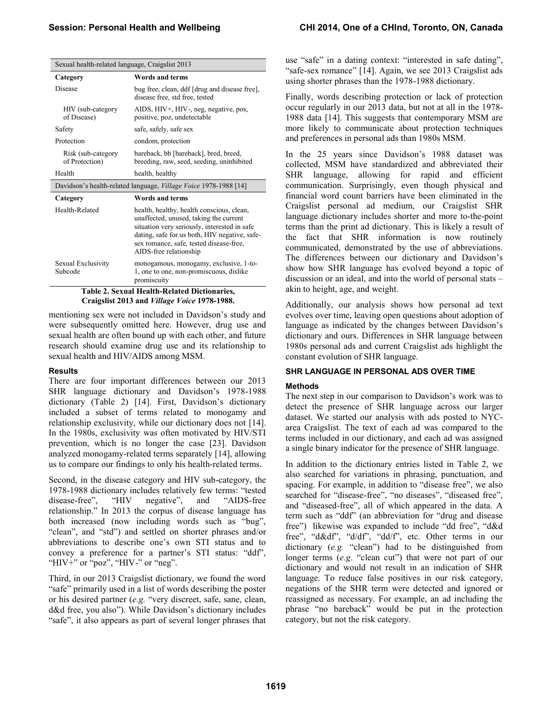| Sexual health-related language, Craigslist 2013 |                                                                                                                                                                                                                                                           |  |
|-------------------------------------------------|-----------------------------------------------------------------------------------------------------------------------------------------------------------------------------------------------------------------------------------------------------------|--|
| Category                                        | Words and terms                                                                                                                                                                                                                                           |  |
| Disease                                         | bug free, clean, ddf [drug and disease free],<br>disease free, std free, tested                                                                                                                                                                           |  |
| HIV (sub-category)<br>of Disease)               | AIDS, HIV+, HIV-, neg, negative, pos,<br>positive, poz, undetectable                                                                                                                                                                                      |  |
| Safety                                          | safe, safely, safe sex                                                                                                                                                                                                                                    |  |
| Protection                                      | condom, protection                                                                                                                                                                                                                                        |  |
| Risk (sub-category<br>of Protection)            | bareback, bb [bareback], bred, breed,<br>breeding, raw, seed, seeding, uninhibited                                                                                                                                                                        |  |
| Health                                          | health, healthy                                                                                                                                                                                                                                           |  |
|                                                 | Davidson's health-related language, <i>Village Voice</i> 1978-1988 [14]                                                                                                                                                                                   |  |
| Category                                        | Words and terms                                                                                                                                                                                                                                           |  |
| Health-Related                                  | health, healthy, health conscious, clean,<br>unaffected, unused, taking the current<br>situation very seriously, interested in safe<br>dating, safe for us both, HIV negative, safe-<br>sex romance, safe, tested disease-free,<br>AIDS-free relationship |  |
| Sexual Exclusivity<br>Subcode                   | monogamous, monogamy, exclusive, 1-to-<br>1, one to one, non-promiscuous, dislike<br>promiscuity                                                                                                                                                          |  |
|                                                 | <b>Table 2. Sexual Health-Related Dictionaries,</b>                                                                                                                                                                                                       |  |

**Craigslist 2013 and** *Village Voice* **1978-1988.**

mentioning sex were not included in Davidson's study and were subsequently omitted here. However, drug use and sexual health are often bound up with each other, and future research should examine drug use and its relationship to sexual health and HIV/AIDS among MSM.

#### **Results**

There are four important differences between our 2013 SHR language dictionary and Davidson's 1978-1988 dictionary (Table 2) [14]. First, Davidson's dictionary included a subset of terms related to monogamy and relationship exclusivity, while our dictionary does not [14]. In the 1980s, exclusivity was often motivated by HIV/STI prevention, which is no longer the case [23]. Davidson analyzed monogamy-related terms separately [14], allowing us to compare our findings to only his health-related terms.

Second, in the disease category and HIV sub-category, the 1978-1988 dictionary includes relatively few terms: "tested disease-free", "HIV negative", and "AIDS-free relationship." In 2013 the corpus of disease language has both increased (now including words such as "bug", "clean", and "std") and settled on shorter phrases and/or abbreviations to describe one's own STI status and to convey a preference for a partner's STI status: "ddf", "HIV+" or "poz", "HIV-" or "neg".

Third, in our 2013 Craigslist dictionary, we found the word "safe" primarily used in a list of words describing the poster or his desired partner (*e.g.* "very discreet, safe, sane, clean, d&d free, you also"). While Davidson's dictionary includes "safe", it also appears as part of several longer phrases that

use "safe" in a dating context: "interested in safe dating", "safe-sex romance" [14]. Again, we see 2013 Craigslist ads using shorter phrases than the 1978-1988 dictionary.

Finally, words describing protection or lack of protection occur regularly in our 2013 data, but not at all in the 1978- 1988 data [14]. This suggests that contemporary MSM are more likely to communicate about protection techniques and preferences in personal ads than 1980s MSM.

In the 25 years since Davidson's 1988 dataset was collected, MSM have standardized and abbreviated their SHR language, allowing for rapid and efficient communication. Surprisingly, even though physical and financial word count barriers have been eliminated in the Craigslist personal ad medium, our Craigslist SHR language dictionary includes shorter and more to-the-point terms than the print ad dictionary. This is likely a result of the fact that SHR information is now routinely communicated, demonstrated by the use of abbreviations. The differences between our dictionary and Davidson's show how SHR language has evolved beyond a topic of discussion or an ideal, and into the world of personal stats – akin to height, age, and weight.

Additionally, our analysis shows how personal ad text evolves over time, leaving open questions about adoption of language as indicated by the changes between Davidson's dictionary and ours. Differences in SHR language between 1980s personal ads and current Craigslist ads highlight the constant evolution of SHR language.

## **SHR LANGUAGE IN PERSONAL ADS OVER TIME**

## **Methods**

The next step in our comparison to Davidson's work was to detect the presence of SHR language across our larger dataset. We started our analysis with ads posted to NYCarea Craigslist. The text of each ad was compared to the terms included in our dictionary, and each ad was assigned a single binary indicator for the presence of SHR language.

In addition to the dictionary entries listed in Table 2, we also searched for variations in phrasing, punctuation, and spacing. For example, in addition to "disease free", we also searched for "disease-free", "no diseases", "diseased free", and "diseased-free", all of which appeared in the data. A term such as "ddf" (an abbreviation for "drug and disease free") likewise was expanded to include "dd free", "d&d free", "d&df", "d/df", "dd/f", etc. Other terms in our dictionary (*e.g.* "clean") had to be distinguished from longer terms (*e.g.* "clean cut") that were not part of our dictionary and would not result in an indication of SHR language. To reduce false positives in our risk category, negations of the SHR term were detected and ignored or reassigned as necessary. For example, an ad including the phrase "no bareback" would be put in the protection category, but not the risk category.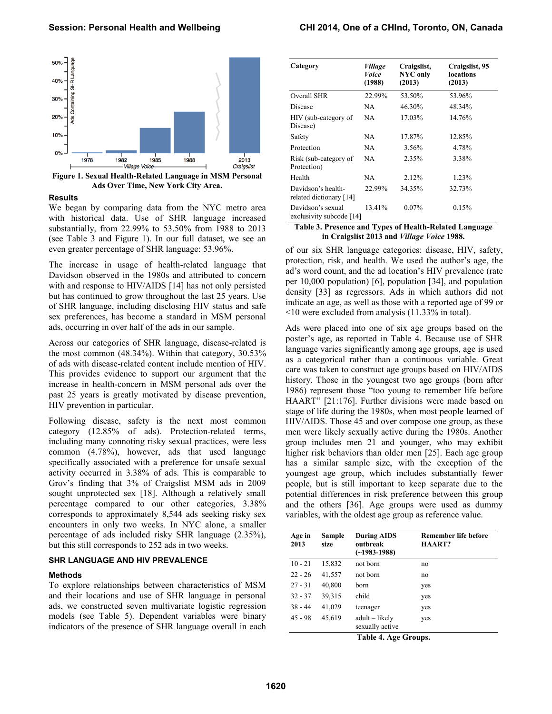

**Figure 1. Sexual Health-Related Language in MSM Personal Ads Over Time, New York City Area.**

#### **Results**

We began by comparing data from the NYC metro area with historical data. Use of SHR language increased substantially, from 22.99% to 53.50% from 1988 to 2013 (see Table 3 and Figure 1). In our full dataset, we see an even greater percentage of SHR language: 53.96%.

The increase in usage of health-related language that Davidson observed in the 1980s and attributed to concern with and response to HIV/AIDS [14] has not only persisted but has continued to grow throughout the last 25 years. Use of SHR language, including disclosing HIV status and safe sex preferences, has become a standard in MSM personal ads, occurring in over half of the ads in our sample.

Across our categories of SHR language, disease-related is the most common (48.34%). Within that category, 30.53% of ads with disease-related content include mention of HIV. This provides evidence to support our argument that the increase in health-concern in MSM personal ads over the past 25 years is greatly motivated by disease prevention, HIV prevention in particular.

Following disease, safety is the next most common category (12.85% of ads). Protection-related terms, including many connoting risky sexual practices, were less common (4.78%), however, ads that used language specifically associated with a preference for unsafe sexual activity occurred in 3.38% of ads. This is comparable to Grov's finding that 3% of Craigslist MSM ads in 2009 sought unprotected sex [18]. Although a relatively small percentage compared to our other categories, 3.38% corresponds to approximately 8,544 ads seeking risky sex encounters in only two weeks. In NYC alone, a smaller percentage of ads included risky SHR language (2.35%), but this still corresponds to 252 ads in two weeks.

## **SHR LANGUAGE AND HIV PREVALENCE**

#### **Methods**

To explore relationships between characteristics of MSM and their locations and use of SHR language in personal ads, we constructed seven multivariate logistic regression models (see Table 5). Dependent variables were binary indicators of the presence of SHR language overall in each

| Category                                        | Village<br>Voice<br>(1988) | Craigslist,<br><b>NYC</b> only<br>(2013) | Craigslist, 95<br>locations<br>(2013) |
|-------------------------------------------------|----------------------------|------------------------------------------|---------------------------------------|
| Overall SHR                                     | 22.99%                     | 53.50%                                   | 53.96%                                |
| Disease                                         | NA.                        | 46.30%                                   | 48.34%                                |
| HIV (sub-category of<br>Disease)                | NA                         | 17.03%                                   | 14.76%                                |
| Safety                                          | NA                         | 17.87%                                   | 12.85%                                |
| Protection                                      | NA.                        | 3.56%                                    | 4.78%                                 |
| Risk (sub-category of<br>Protection)            | NA                         | 2.35%                                    | 3.38%                                 |
| Health                                          | NA                         | 2.12%                                    | 1.23%                                 |
| Davidson's health-<br>related dictionary [14]   | 22.99%                     | 34.35%                                   | 32.73%                                |
| Davidson's sexual<br>exclusivity subcode $[14]$ | 13.41%                     | $0.07\%$                                 | 0.15%                                 |

**Table 3. Presence and Types of Health-Related Language in Craigslist 2013 and** *Village Voice* **1988.**

of our six SHR language categories: disease, HIV, safety, protection, risk, and health. We used the author's age, the ad's word count, and the ad location's HIV prevalence (rate per 10,000 population) [6], population [34], and population density [33] as regressors. Ads in which authors did not indicate an age, as well as those with a reported age of 99 or <10 were excluded from analysis (11.33% in total).

Ads were placed into one of six age groups based on the poster's age, as reported in Table 4. Because use of SHR language varies significantly among age groups, age is used as a categorical rather than a continuous variable. Great care was taken to construct age groups based on HIV/AIDS history. Those in the youngest two age groups (born after 1986) represent those "too young to remember life before HAART" [21:176]. Further divisions were made based on stage of life during the 1980s, when most people learned of HIV/AIDS. Those 45 and over compose one group, as these men were likely sexually active during the 1980s. Another group includes men 21 and younger, who may exhibit higher risk behaviors than older men [25]. Each age group has a similar sample size, with the exception of the youngest age group, which includes substantially fewer people, but is still important to keep separate due to the potential differences in risk preference between this group and the others [36]. Age groups were used as dummy variables, with the oldest age group as reference value.

| Age in<br>2013 | Sample<br>size | <b>During AIDS</b><br>outbreak<br>$(-1983 - 1988)$ | <b>Remember life before</b><br><b>HAART?</b> |
|----------------|----------------|----------------------------------------------------|----------------------------------------------|
| $10 - 21$      | 15,832         | not born                                           | no                                           |
| $22 - 26$      | 41,557         | not born                                           | no                                           |
| $27 - 31$      | 40,800         | born                                               | yes                                          |
| $32 - 37$      | 39,315         | child                                              | yes                                          |
| $38 - 44$      | 41,029         | teenager                                           | yes                                          |
| $45 - 98$      | 45,619         | adult – likely<br>sexually active                  | yes                                          |

**Table 4. Age Groups.**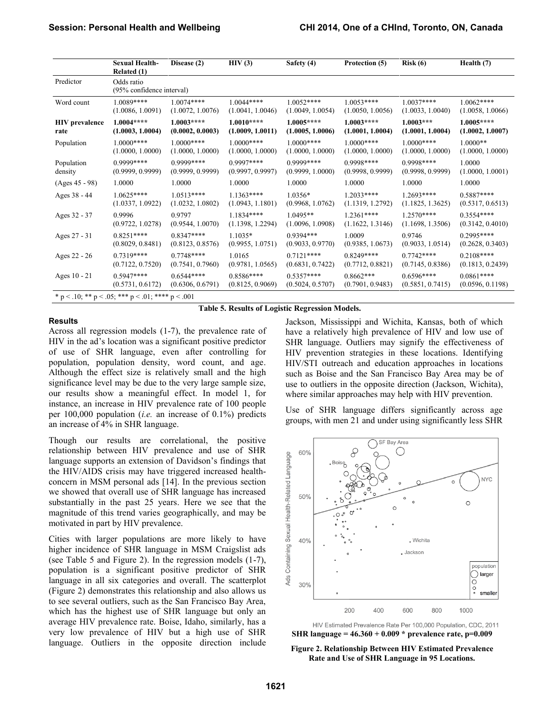|                       | <b>Sexual Health-</b><br>Related(1)               | Disease (2)      | HIV(3)           | Safety (4)       | Protection (5)   | Risk(6)          | Health (7)       |
|-----------------------|---------------------------------------------------|------------------|------------------|------------------|------------------|------------------|------------------|
| Predictor             | Odds ratio<br>(95% confidence interval)           |                  |                  |                  |                  |                  |                  |
| Word count            | 1.0089****                                        | $1.0074***$      | 1.0044****       | $1.0052***$      | $1.0053***$      | $1.0037***$      | $1.0062***$      |
|                       | (1.0086, 1.0091)                                  | (1.0072, 1.0076) | (1.0041, 1.0046) | (1.0049, 1.0054) | (1.0050, 1.0056) | (1.0033, 1.0040) | (1.0058, 1.0066) |
| <b>HIV</b> prevalence | $1.0004***$                                       | $1.0003***$      | $1.0010***$      | $1.0005***$      | $1.0003***$      | $1.0003***$      | $1.0005***$      |
| rate                  | (1.0003, 1.0004)                                  | (0.0002, 0.0003) | (1.0009, 1.0011) | (1.0005, 1.0006) | (1.0001, 1.0004) | (1.0001, 1.0004) | (1.0002, 1.0007) |
| Population            | $1.0000$ ****                                     | $1.0000***$      | $1.0000***$      | $1.0000***$      | $1.0000***$      | $1.0000***$      | $1.0000**$       |
|                       | (1.0000, 1.0000)                                  | (1.0000, 1.0000) | (1.0000, 1.0000) | (1.0000, 1.0000) | (1.0000, 1.0000) | (1.0000, 1.0000) | (1.0000, 1.0000) |
| Population            | $0.9999***$                                       | 0.9999****       | $0.9997***$      | $0.9999***$      | $0.9998***$      | $0.9998***$      | 1.0000           |
| density               | (0.9999, 0.9999)                                  | (0.9999, 0.9999) | (0.9997, 0.9997) | (0.9999, 1.0000) | (0.9998, 0.9999) | (0.9998, 0.9999) | (1.0000, 1.0001) |
| (Ages 45 - 98)        | 1.0000                                            | 1.0000           | 1.0000           | 1.0000           | 1.0000           | 1.0000           | 1.0000           |
| Ages 38 - 44          | $1.0625***$                                       | $1.0513***$      | $1.1363***$      | $1.0356*$        | $1.2033***$      | $1.2693***$      | $0.5887***$      |
|                       | (1.0337, 1.0922)                                  | (1.0232, 1.0802) | (1.0943, 1.1801) | (0.9968, 1.0762) | (1.1319, 1.2792) | (1.1825, 1.3625) | (0.5317, 0.6513) |
| Ages 32 - 37          | 0.9996                                            | 0.9797           | 1.1834 ****      | $1.0495**$       | $1.2361***$      | $1.2570***$      | $0.3554***$      |
|                       | (0.9722, 1.0278)                                  | (0.9544, 1.0070) | (1.1398, 1.2294) | (1.0096, 1.0908) | (1.1622, 1.3146) | (1.1698, 1.3506) | (0.3142, 0.4010) |
| Ages 27 - 31          | $0.8251***$                                       | $0.8347***$      | $1.1035*$        | $0.9394***$      | 1.0009           | 0.9746           | $0.2995***$      |
|                       | (0.8029, 0.8481)                                  | (0.8123, 0.8576) | (0.9955, 1.0751) | (0.9033, 0.9770) | (0.9385, 1.0673) | (0.9033, 1.0514) | (0.2628, 0.3403) |
| Ages 22 - 26          | $0.7319***$                                       | $0.7748***$      | 1.0165           | $0.7121***$      | $0.8249***$      | $0.7742***$      | $0.2108***$      |
|                       | (0.7122, 0.7520)                                  | (0.7541, 0.7960) | (0.9781, 1.0565) | (0.6831, 0.7422) | (0.7712, 0.8821) | (0.7145, 0.8386) | (0.1813, 0.2439) |
| Ages 10 - 21          | $0.5947***$                                       | $0.6544***$      | 0.8586****       | $0.5357***$      | $0.8662***$      | $0.6596***$      | $0.0861***$      |
|                       | (0.5731, 0.6172)                                  | (0.6306, 0.6791) | (0.8125, 0.9069) | (0.5024, 0.5707) | (0.7901, 0.9483) | (0.5851, 0.7415) | (0.0596, 0.1198) |
|                       | * p < .10; ** p < .05; *** p < .01; **** p < .001 |                  |                  |                  |                  |                  |                  |

**Table 5. Results of Logistic Regression Models.**

### **Results**

Across all regression models (1-7), the prevalence rate of HIV in the ad's location was a significant positive predictor of use of SHR language, even after controlling for population, population density, word count, and age. Although the effect size is relatively small and the high significance level may be due to the very large sample size, our results show a meaningful effect. In model 1, for instance, an increase in HIV prevalence rate of 100 people per 100,000 population (*i.e.* an increase of 0.1%) predicts an increase of 4% in SHR language.

Though our results are correlational, the positive relationship between HIV prevalence and use of SHR language supports an extension of Davidson's findings that the HIV/AIDS crisis may have triggered increased healthconcern in MSM personal ads [14]. In the previous section we showed that overall use of SHR language has increased substantially in the past 25 years. Here we see that the magnitude of this trend varies geographically, and may be motivated in part by HIV prevalence.

Cities with larger populations are more likely to have higher incidence of SHR language in MSM Craigslist ads (see Table 5 and Figure 2). In the regression models (1-7), population is a significant positive predictor of SHR language in all six categories and overall. The scatterplot (Figure 2) demonstrates this relationship and also allows us to see several outliers, such as the San Francisco Bay Area, which has the highest use of SHR language but only an average HIV prevalence rate. Boise, Idaho, similarly, has a very low prevalence of HIV but a high use of SHR language. Outliers in the opposite direction include Jackson, Mississippi and Wichita, Kansas, both of which have a relatively high prevalence of HIV and low use of SHR language. Outliers may signify the effectiveness of HIV prevention strategies in these locations. Identifying HIV/STI outreach and education approaches in locations such as Boise and the San Francisco Bay Area may be of use to outliers in the opposite direction (Jackson, Wichita), where similar approaches may help with HIV prevention.

Use of SHR language differs significantly across age groups, with men 21 and under using significantly less SHR



HIV Estimated Prevalence Rate Per 100,000 Population, CDC, 2011 **SHR language = 46.360 + 0.009 \* prevalence rate, p=0.009**

**Figure 2. Relationship Between HIV Estimated Prevalence Rate and Use of SHR Language in 95 Locations.**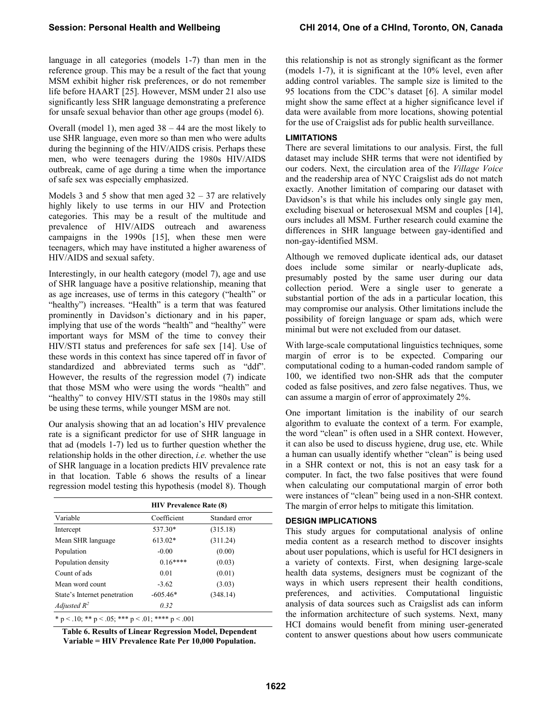language in all categories (models 1-7) than men in the reference group. This may be a result of the fact that young MSM exhibit higher risk preferences, or do not remember life before HAART [25]. However, MSM under 21 also use significantly less SHR language demonstrating a preference for unsafe sexual behavior than other age groups (model 6).

Overall (model 1), men aged 38 – 44 are the most likely to use SHR language, even more so than men who were adults during the beginning of the HIV/AIDS crisis. Perhaps these men, who were teenagers during the 1980s HIV/AIDS outbreak, came of age during a time when the importance of safe sex was especially emphasized.

Models 3 and 5 show that men aged  $32 - 37$  are relatively highly likely to use terms in our HIV and Protection categories. This may be a result of the multitude and prevalence of HIV/AIDS outreach and awareness campaigns in the 1990s [15], when these men were teenagers, which may have instituted a higher awareness of HIV/AIDS and sexual safety.

Interestingly, in our health category (model 7), age and use of SHR language have a positive relationship, meaning that as age increases, use of terms in this category ("health" or "healthy") increases. "Health" is a term that was featured prominently in Davidson's dictionary and in his paper, implying that use of the words "health" and "healthy" were important ways for MSM of the time to convey their HIV/STI status and preferences for safe sex [14]. Use of these words in this context has since tapered off in favor of standardized and abbreviated terms such as "ddf". However, the results of the regression model (7) indicate that those MSM who were using the words "health" and "healthy" to convey HIV/STI status in the 1980s may still be using these terms, while younger MSM are not.

Our analysis showing that an ad location's HIV prevalence rate is a significant predictor for use of SHR language in that ad (models 1-7) led us to further question whether the relationship holds in the other direction, *i.e.* whether the use of SHR language in a location predicts HIV prevalence rate in that location. Table 6 shows the results of a linear regression model testing this hypothesis (model 8). Though

|                              | <b>HIV Prevalence Rate (8)</b> |                |  |  |  |
|------------------------------|--------------------------------|----------------|--|--|--|
| Variable                     | Coefficient                    | Standard error |  |  |  |
| Intercept                    | 537.30*                        | (315.18)       |  |  |  |
| Mean SHR language            | 613.02*                        | (311.24)       |  |  |  |
| Population                   | $-0.00$                        | (0.00)         |  |  |  |
| Population density           | $0.16***$                      | (0.03)         |  |  |  |
| Count of ads                 | 0.01                           | (0.01)         |  |  |  |
| Mean word count              | $-3.62$                        | (3.03)         |  |  |  |
| State's Internet penetration | $-605.46*$                     | (348.14)       |  |  |  |
| Adjusted $R^2$               | 0.32                           |                |  |  |  |

**Table 6. Results of Linear Regression Model, Dependent Variable = HIV Prevalence Rate Per 10,000 Population.**

this relationship is not as strongly significant as the former (models 1-7), it is significant at the 10% level, even after adding control variables. The sample size is limited to the 95 locations from the CDC's dataset [6]. A similar model might show the same effect at a higher significance level if data were available from more locations, showing potential for the use of Craigslist ads for public health surveillance.

# **LIMITATIONS**

There are several limitations to our analysis. First, the full dataset may include SHR terms that were not identified by our coders. Next, the circulation area of the *Village Voice* and the readership area of NYC Craigslist ads do not match exactly. Another limitation of comparing our dataset with Davidson's is that while his includes only single gay men, excluding bisexual or heterosexual MSM and couples [14], ours includes all MSM. Further research could examine the differences in SHR language between gay-identified and non-gay-identified MSM.

Although we removed duplicate identical ads, our dataset does include some similar or nearly-duplicate ads, presumably posted by the same user during our data collection period. Were a single user to generate a substantial portion of the ads in a particular location, this may compromise our analysis. Other limitations include the possibility of foreign language or spam ads, which were minimal but were not excluded from our dataset.

With large-scale computational linguistics techniques, some margin of error is to be expected. Comparing our computational coding to a human-coded random sample of 100, we identified two non-SHR ads that the computer coded as false positives, and zero false negatives. Thus, we can assume a margin of error of approximately 2%.

One important limitation is the inability of our search algorithm to evaluate the context of a term. For example, the word "clean" is often used in a SHR context. However, it can also be used to discuss hygiene, drug use, etc. While a human can usually identify whether "clean" is being used in a SHR context or not, this is not an easy task for a computer. In fact, the two false positives that were found when calculating our computational margin of error both were instances of "clean" being used in a non-SHR context. The margin of error helps to mitigate this limitation.

# **DESIGN IMPLICATIONS**

This study argues for computational analysis of online media content as a research method to discover insights about user populations, which is useful for HCI designers in a variety of contexts. First, when designing large-scale health data systems, designers must be cognizant of the ways in which users represent their health conditions, preferences, and activities. Computational linguistic analysis of data sources such as Craigslist ads can inform the information architecture of such systems. Next, many HCI domains would benefit from mining user-generated content to answer questions about how users communicate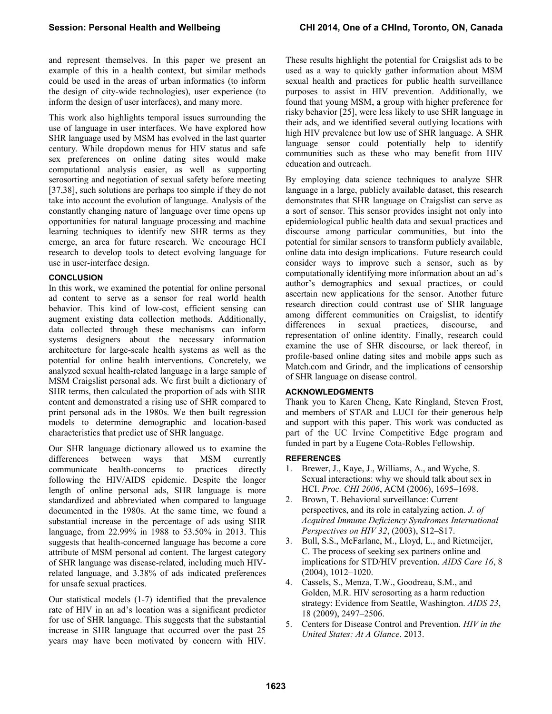and represent themselves. In this paper we present an example of this in a health context, but similar methods could be used in the areas of urban informatics (to inform the design of city-wide technologies), user experience (to inform the design of user interfaces), and many more.

This work also highlights temporal issues surrounding the use of language in user interfaces. We have explored how SHR language used by MSM has evolved in the last quarter century. While dropdown menus for HIV status and safe sex preferences on online dating sites would make computational analysis easier, as well as supporting serosorting and negotiation of sexual safety before meeting [37,38], such solutions are perhaps too simple if they do not take into account the evolution of language. Analysis of the constantly changing nature of language over time opens up opportunities for natural language processing and machine learning techniques to identify new SHR terms as they emerge, an area for future research. We encourage HCI research to develop tools to detect evolving language for use in user-interface design.

# **CONCLUSION**

In this work, we examined the potential for online personal ad content to serve as a sensor for real world health behavior. This kind of low-cost, efficient sensing can augment existing data collection methods. Additionally, data collected through these mechanisms can inform systems designers about the necessary information architecture for large-scale health systems as well as the potential for online health interventions. Concretely, we analyzed sexual health-related language in a large sample of MSM Craigslist personal ads. We first built a dictionary of SHR terms, then calculated the proportion of ads with SHR content and demonstrated a rising use of SHR compared to print personal ads in the 1980s. We then built regression models to determine demographic and location-based characteristics that predict use of SHR language.

Our SHR language dictionary allowed us to examine the differences between ways that MSM currently communicate health-concerns to practices directly following the HIV/AIDS epidemic. Despite the longer length of online personal ads, SHR language is more standardized and abbreviated when compared to language documented in the 1980s. At the same time, we found a substantial increase in the percentage of ads using SHR language, from 22.99% in 1988 to 53.50% in 2013. This suggests that health-concerned language has become a core attribute of MSM personal ad content. The largest category of SHR language was disease-related, including much HIVrelated language, and 3.38% of ads indicated preferences for unsafe sexual practices.

Our statistical models (1-7) identified that the prevalence rate of HIV in an ad's location was a significant predictor for use of SHR language. This suggests that the substantial increase in SHR language that occurred over the past 25 years may have been motivated by concern with HIV.

These results highlight the potential for Craigslist ads to be used as a way to quickly gather information about MSM sexual health and practices for public health surveillance purposes to assist in HIV prevention. Additionally, we found that young MSM, a group with higher preference for risky behavior [25], were less likely to use SHR language in their ads, and we identified several outlying locations with high HIV prevalence but low use of SHR language. A SHR language sensor could potentially help to identify communities such as these who may benefit from HIV education and outreach.

By employing data science techniques to analyze SHR language in a large, publicly available dataset, this research demonstrates that SHR language on Craigslist can serve as a sort of sensor. This sensor provides insight not only into epidemiological public health data and sexual practices and discourse among particular communities, but into the potential for similar sensors to transform publicly available, online data into design implications. Future research could consider ways to improve such a sensor, such as by computationally identifying more information about an ad's author's demographics and sexual practices, or could ascertain new applications for the sensor. Another future research direction could contrast use of SHR language among different communities on Craigslist, to identify differences in sexual practices, discourse, and representation of online identity. Finally, research could examine the use of SHR discourse, or lack thereof, in profile-based online dating sites and mobile apps such as Match.com and Grindr, and the implications of censorship of SHR language on disease control.

# **ACKNOWLEDGMENTS**

Thank you to Karen Cheng, Kate Ringland, Steven Frost, and members of STAR and LUCI for their generous help and support with this paper. This work was conducted as part of the UC Irvine Competitive Edge program and funded in part by a Eugene Cota-Robles Fellowship.

# **REFERENCES**

- 1. Brewer, J., Kaye, J., Williams, A., and Wyche, S. Sexual interactions: why we should talk about sex in HCI. *Proc. CHI 2006*, ACM (2006), 1695–1698.
- 2. Brown, T. Behavioral surveillance: Current perspectives, and its role in catalyzing action. *J. of Acquired Immune Deficiency Syndromes International Perspectives on HIV 32*, (2003), S12–S17.
- 3. Bull, S.S., McFarlane, M., Lloyd, L., and Rietmeijer, C. The process of seeking sex partners online and implications for STD/HIV prevention. *AIDS Care 16*, 8 (2004), 1012–1020.
- 4. Cassels, S., Menza, T.W., Goodreau, S.M., and Golden, M.R. HIV serosorting as a harm reduction strategy: Evidence from Seattle, Washington. *AIDS 23*, 18 (2009), 2497–2506.
- 5. Centers for Disease Control and Prevention. *HIV in the United States: At A Glance*. 2013.